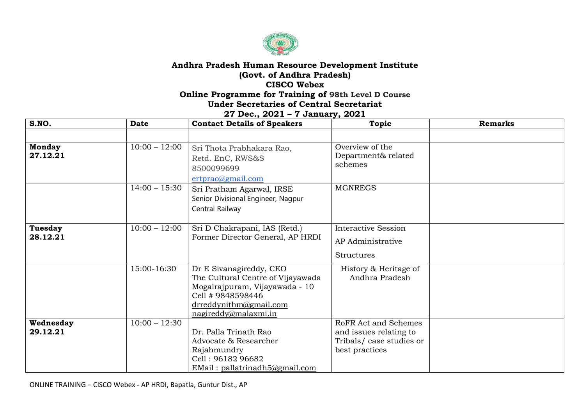

## **Andhra Pradesh Human Resource Development Institute (Govt. of Andhra Pradesh) CISCO Webex Online Programme for Training of 98th Level D Course**

## **Under Secretaries of Central Secretariat**

## **27 Dec., 2021 – 7 January, 2021**

| S.NO.                      | <b>Date</b>                        | <b>Contact Details of Speakers</b>                                                                                                                                     | <b>Topic</b>                                                                                | <b>Remarks</b> |
|----------------------------|------------------------------------|------------------------------------------------------------------------------------------------------------------------------------------------------------------------|---------------------------------------------------------------------------------------------|----------------|
|                            |                                    |                                                                                                                                                                        |                                                                                             |                |
| <b>Monday</b><br>27.12.21  | $10:00 - 12:00$<br>$14:00 - 15:30$ | Sri Thota Prabhakara Rao,<br>Retd. EnC, RWS&S<br>8500099699<br>ertprao@gmail.com<br>Sri Pratham Agarwal, IRSE<br>Senior Divisional Engineer, Nagpur<br>Central Railway | Overview of the<br>Department& related<br>schemes<br><b>MGNREGS</b>                         |                |
| <b>Tuesday</b><br>28.12.21 | $10:00 - 12:00$                    | Sri D Chakrapani, IAS (Retd.)<br>Former Director General, AP HRDI                                                                                                      | <b>Interactive Session</b><br>AP Administrative<br><b>Structures</b>                        |                |
|                            | 15:00-16:30                        | Dr E Sivanagireddy, CEO<br>The Cultural Centre of Vijayawada<br>Mogalrajpuram, Vijayawada - 10<br>Cell # 9848598446<br>drreddynithm@gmail.com<br>nagireddy@malaxmi.in  | History & Heritage of<br>Andhra Pradesh                                                     |                |
| Wednesday<br>29.12.21      | $10:00 - 12:30$                    | Dr. Palla Trinath Rao<br>Advocate & Researcher<br>Rajahmundry<br>Cell: 96182 96682<br>EMail: pallatrinadh 5@gmail.com                                                  | RoFR Act and Schemes<br>and issues relating to<br>Tribals/case studies or<br>best practices |                |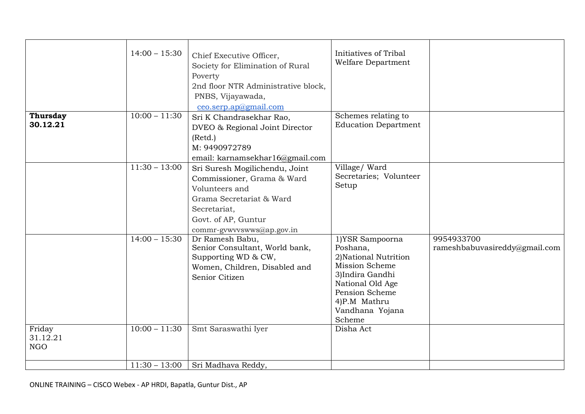|                                  | $14:00 - 15:30$ | Chief Executive Officer,<br>Society for Elimination of Rural<br>Poverty<br>2nd floor NTR Administrative block,<br>PNBS, Vijayawada,<br>ceo.serp.ap@gmail.com                   | Initiatives of Tribal<br>Welfare Department                                                                                                                                  |                                             |
|----------------------------------|-----------------|--------------------------------------------------------------------------------------------------------------------------------------------------------------------------------|------------------------------------------------------------------------------------------------------------------------------------------------------------------------------|---------------------------------------------|
| <b>Thursday</b><br>30.12.21      | $10:00 - 11:30$ | Sri K Chandrasekhar Rao,<br>DVEO & Regional Joint Director<br>(Retd.)<br>M: 9490972789<br>email: karnamsekhar16@gmail.com                                                      | Schemes relating to<br><b>Education Department</b>                                                                                                                           |                                             |
|                                  | $11:30 - 13:00$ | Sri Suresh Mogilichendu, Joint<br>Commissioner, Grama & Ward<br>Volunteers and<br>Grama Secretariat & Ward<br>Secretariat,<br>Govt. of AP, Guntur<br>commr-gywyyswws@ap.gov.in | Village/Ward<br>Secretaries; Volunteer<br>Setup                                                                                                                              |                                             |
|                                  | $14:00 - 15:30$ | Dr Ramesh Babu,<br>Senior Consultant, World bank,<br>Supporting WD & CW,<br>Women, Children, Disabled and<br>Senior Citizen                                                    | 1)YSR Sampoorna<br>Poshana,<br>2) National Nutrition<br>Mission Scheme<br>3)Indira Gandhi<br>National Old Age<br>Pension Scheme<br>4)P.M Mathru<br>Vandhana Yojana<br>Scheme | 9954933700<br>rameshbabuvasireddy@gmail.com |
| Friday<br>31.12.21<br><b>NGO</b> | $10:00 - 11:30$ | Smt Saraswathi Iyer                                                                                                                                                            | Disha Act                                                                                                                                                                    |                                             |
|                                  | $11:30 - 13:00$ | Sri Madhava Reddy,                                                                                                                                                             |                                                                                                                                                                              |                                             |
|                                  |                 |                                                                                                                                                                                |                                                                                                                                                                              |                                             |